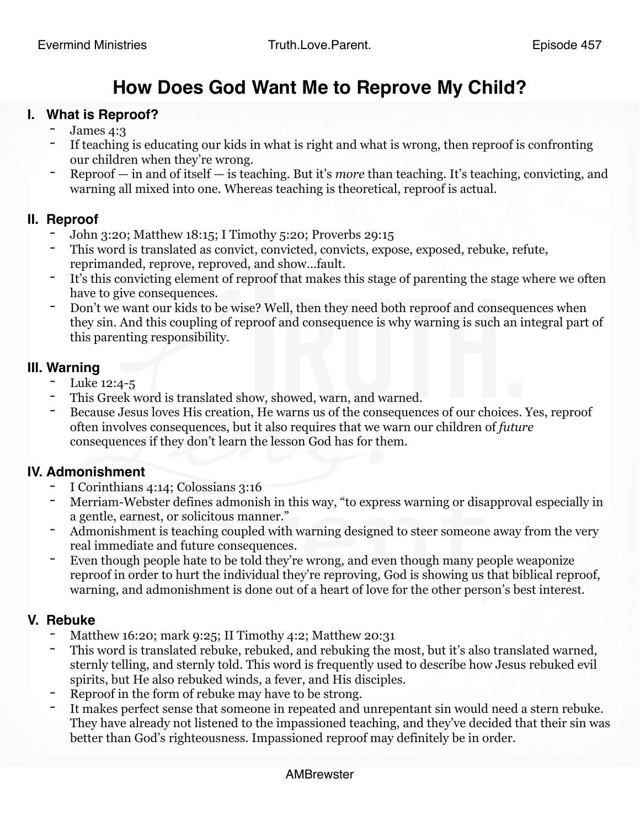# **How Does God Want Me to Reprove My Child?**

#### **I. What is Reproof?**

- James 4:3
- If teaching is educating our kids in what is right and what is wrong, then reproof is confronting our children when they're wrong.
- Reproof in and of itself is teaching. But it's *more* than teaching. It's teaching, convicting, and warning all mixed into one. Whereas teaching is theoretical, reproof is actual.

# **II. Reproof**

- John 3:20; Matthew 18:15; I Timothy 5:20; Proverbs 29:15
- This word is translated as convict, convicted, convicts, expose, exposed, rebuke, refute, reprimanded, reprove, reproved, and show…fault.
- It's this convicting element of reproof that makes this stage of parenting the stage where we often have to give consequences.
- Don't we want our kids to be wise? Well, then they need both reproof and consequences when they sin. And this coupling of reproof and consequence is why warning is such an integral part of this parenting responsibility.

### **III. Warning**

- Luke 12:4-5
- This Greek word is translated show, showed, warn, and warned.
- Because Jesus loves His creation, He warns us of the consequences of our choices. Yes, reproof often involves consequences, but it also requires that we warn our children of *future* consequences if they don't learn the lesson God has for them.

# **IV. Admonishment**

- I Corinthians 4:14; Colossians 3:16
- Merriam-Webster defines admonish in this way, "to express warning or disapproval especially in a gentle, earnest, or solicitous manner."
- Admonishment is teaching coupled with warning designed to steer someone away from the very real immediate and future consequences.
- Even though people hate to be told they're wrong, and even though many people weaponize reproof in order to hurt the individual they're reproving, God is showing us that biblical reproof, warning, and admonishment is done out of a heart of love for the other person's best interest.

#### **V. Rebuke**

- Matthew 16:20; mark 9:25; II Timothy 4:2; Matthew 20:31
- This word is translated rebuke, rebuked, and rebuking the most, but it's also translated warned, sternly telling, and sternly told. This word is frequently used to describe how Jesus rebuked evil spirits, but He also rebuked winds, a fever, and His disciples.
- Reproof in the form of rebuke may have to be strong.
- It makes perfect sense that someone in repeated and unrepentant sin would need a stern rebuke. They have already not listened to the impassioned teaching, and they've decided that their sin was better than God's righteousness. Impassioned reproof may definitely be in order.

#### AMBrewster